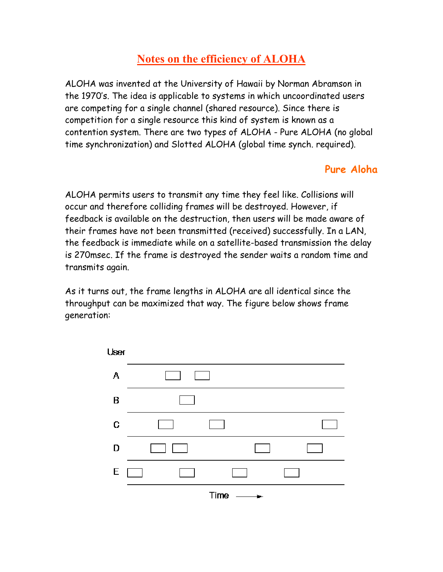## **Notes on the efficiency of ALOHA**

ALOHA was invented at the University of Hawaii by Norman Abramson in the 1970's. The idea is applicable to systems in which uncoordinated users are competing for a single channel (shared resource). Since there is competition for a single resource this kind of system is known as a contention system. There are two types of ALOHA - Pure ALOHA (no global time synchronization) and Slotted ALOHA (global time synch. required).

## **Pure Aloha**

ALOHA permits users to transmit any time they feel like. Collisions will occur and therefore colliding frames will be destroyed. However, if feedback is available on the destruction, then users will be made aware of their frames have not been transmitted (received) successfully. In a LAN, the feedback is immediate while on a satellite-based transmission the delay is 270msec. If the frame is destroyed the sender waits a random time and transmits again.

As it turns out, the frame lengths in ALOHA are all identical since the throughput can be maximized that way. The figure below shows frame generation:

| User                      |  |  |  |  |  |
|---------------------------|--|--|--|--|--|
| A                         |  |  |  |  |  |
| B                         |  |  |  |  |  |
| C                         |  |  |  |  |  |
| D                         |  |  |  |  |  |
| E                         |  |  |  |  |  |
| $Time -$<br>$\rightarrow$ |  |  |  |  |  |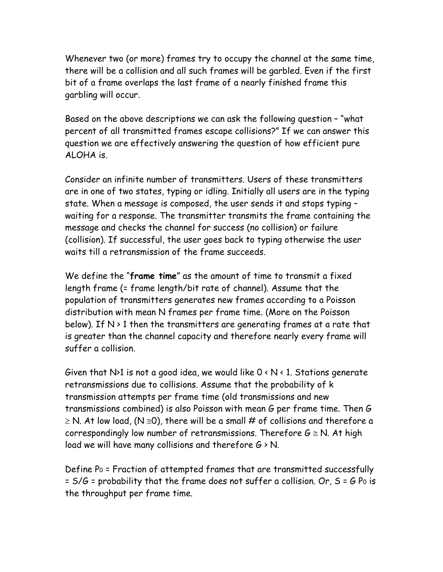Whenever two (or more) frames try to occupy the channel at the same time, there will be a collision and all such frames will be garbled. Even if the first bit of a frame overlaps the last frame of a nearly finished frame this garbling will occur.

Based on the above descriptions we can ask the following question – "what percent of all transmitted frames escape collisions?" If we can answer this question we are effectively answering the question of how efficient pure ALOHA is.

Consider an infinite number of transmitters. Users of these transmitters are in one of two states, typing or idling. Initially all users are in the typing state. When a message is composed, the user sends it and stops typing – waiting for a response. The transmitter transmits the frame containing the message and checks the channel for success (no collision) or failure (collision). If successful, the user goes back to typing otherwise the user waits till a retransmission of the frame succeeds.

We define the "**frame time**" as the amount of time to transmit a fixed length frame (= frame length/bit rate of channel). Assume that the population of transmitters generates new frames according to a Poisson distribution with mean N frames per frame time. (More on the Poisson below). If  $N > 1$  then the transmitters are generating frames at a rate that is greater than the channel capacity and therefore nearly every frame will suffer a collision.

Given that N>1 is not a good idea, we would like  $0 \times N \times 1$ . Stations generate retransmissions due to collisions. Assume that the probability of k transmission attempts per frame time (old transmissions and new transmissions combined) is also Poisson with mean G per frame time. Then G  $\geq$  N. At low load, (N  $\leq$ 0), there will be a small # of collisions and therefore a correspondingly low number of retransmissions. Therefore  $G \cong N$ . At high load we will have many collisions and therefore  $G \ge N$ .

Define P0 = Fraction of attempted frames that are transmitted successfully  $= S/G =$  probability that the frame does not suffer a collision. Or,  $S = G$  Po is the throughput per frame time.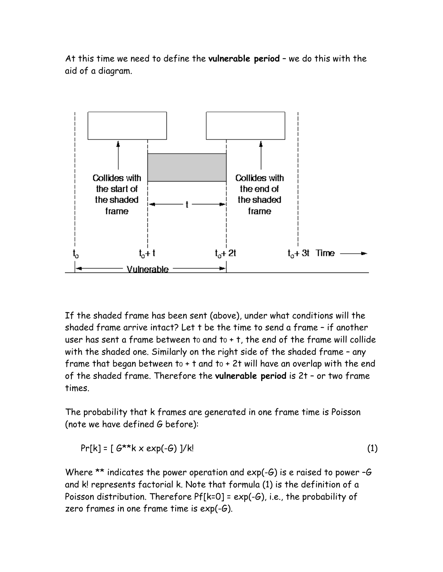At this time we need to define the **vulnerable period** – we do this with the aid of a diagram.



If the shaded frame has been sent (above), under what conditions will the shaded frame arrive intact? Let t be the time to send a frame – if another user has sent a frame between to and  $t_0 + t$ , the end of the frame will collide with the shaded one. Similarly on the right side of the shaded frame – any frame that began between to  $+$  t and to  $+$  2t will have an overlap with the end of the shaded frame. Therefore the **vulnerable period** is 2t – or two frame times.

The probability that k frames are generated in one frame time is Poisson (note we have defined G before):

$$
Pr[k] = [G^{\star k}k \times exp(-G)]/k!
$$
 (1)

Where  $**$  indicates the power operation and  $exp(-G)$  is e raised to power  $-G$ and k! represents factorial k. Note that formula (1) is the definition of a Poisson distribution. Therefore Pf[k=0] = exp(-G), i.e., the probability of zero frames in one frame time is exp(-G).